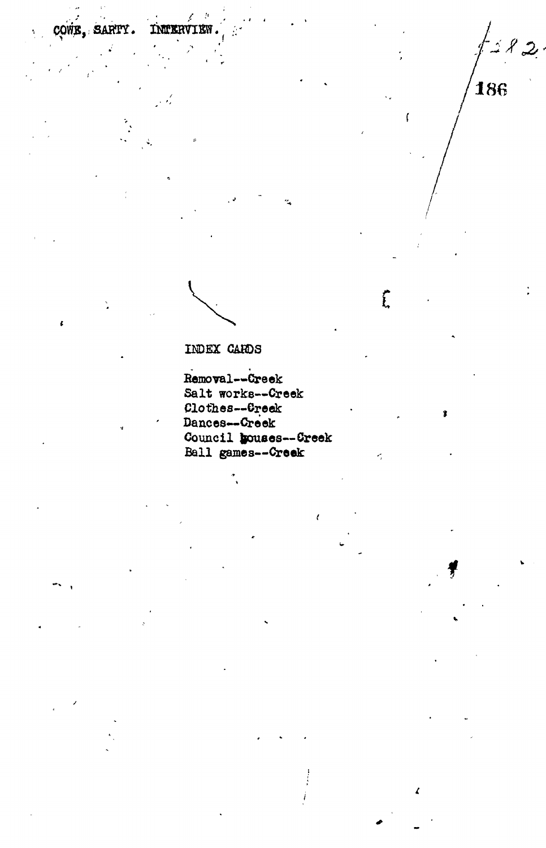186

 $\overline{1}$ 

 $\hat{L}$ 

ġ.

 $\pmb{\ell}$ 

Ť

INDEX CARDS

COWE, SARTY.

 $\tilde{\mathbf{Y}}$ 

INTERVIEW

Removal--Creek Salt works--Creek Clothes--Creek Dances--Creek Council bouses--Creek Ball games--Creek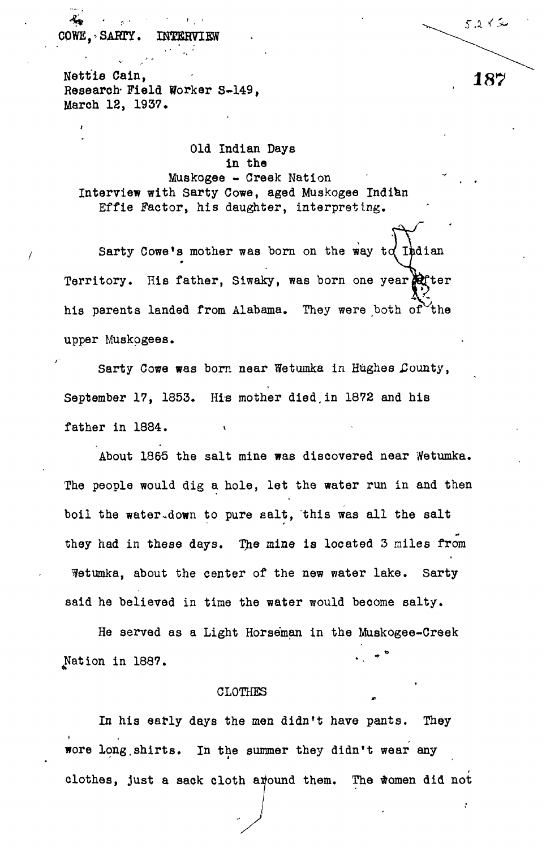OWE. SARTY. **INTERVIEW**

Nettie Cain, and the contract of the contract of  $187'$ Research- Field Worker S-149, March 12, 1937.

Old Indian Days in the Muskogee - Creek Nation Interview with Sarty Cowe, aged Muskogee Indian Effie Factor, his daughter, interpreting.

Sarty Cowe's mother was born on the way  $td$  Indian Territory. His father, Siwaky, was born one year there his parents landed from Alabama. They were both of the upper Muskogees.

Sarty Cowe was born near Wetumka in Hughes County, September 17, 1853. His mother died,in 1872 and his father in 1884.

About 1865 the salt mine was discovered near Wetumka. The people would dig a hole, let the water run in and then boil the water down to pure salt, this was all the salt they had in these days. The mine is located 3 miles from Wetumka, about the center of the new water lake. Sarty said he believed in time the water would become salty.

He served as a Light Horseman in the Muskogee-Creek Nation in 1887.

## CLOTHES

In his early days the men didn't have pants. They wore long.shirts. In the summer they didn't wear any clothes, just a sack cloth around them. The women did not

5282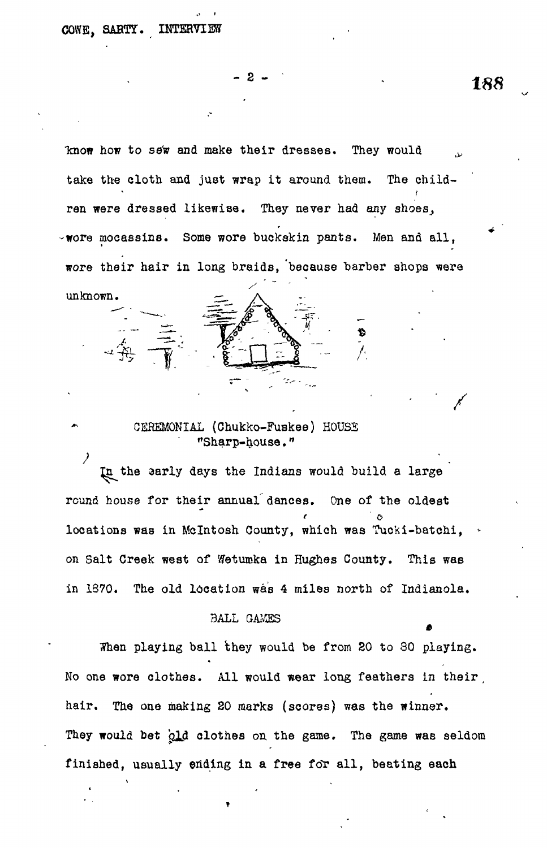unknown.

" 2

know how to sew and make their dresses. They would take the cloth and just wrap it around them. The children were dressed likewise. They never had any shoes,  $\sim$ wore mocassins. Some wore buckskin pants. Men and all, wore their hair in long braids, 'because barber shops were

> CEREMONIAL {Chukko-Fuskee) HOUSS "Sharp-house."

the aarly days the Indians would build a large round house for their annual dances. One of the oldest locations was in Mclntosh County, which was Tucki-batchi, \* on Salt Creek west of Wetumka in Hughes County. This was in 1870. The old location was 4 miles north of Indianola.

## BALL GAMES

When playing ball they would be from 20 to 80 playing. No one wore clothes. All would wear long feathers in their, hair. The one making 20 marks (scores) was the winner. They would bet old clothes on the game. The game was seldom finished, usually ending in a free for all, beating each